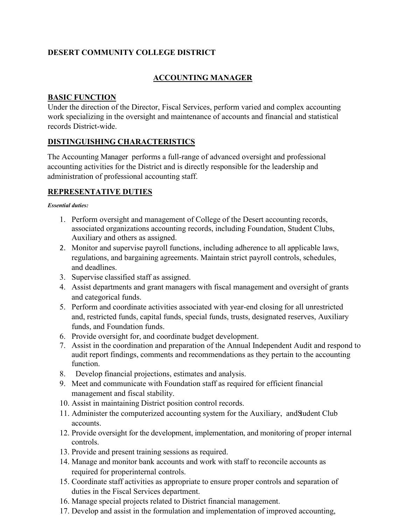## **DESERT COMMUNITY COLLEGE DISTRICT**

# **ACCOUNTING MANAGER**

#### **BASIC FUNCTION**

Under the direction of the Director, Fiscal Services, perform varied and complex accounting work specializing in the oversight and maintenance of accounts and financial and statistical records District-wide.

### **DISTINGUISHING CHARACTERISTICS**

The Accounting Manager performs a full-range of advanced oversight and professional accounting activities for the District and is directly responsible for the leadership and administration of professional accounting staff.

## **REPRESENTATIVE DUTIES**

#### *Essential duties:*

- 1. Perform oversight and management of College of the Desert accounting records, associated organizations accounting records, including Foundation, Student Clubs, Auxiliary and others as assigned.
- 2. Monitor and supervise payroll functions, including adherence to all applicable laws, regulations, and bargaining agreements. Maintain strict payroll controls, schedules, and deadlines.
- 3. Supervise classified staff as assigned.
- 4. Assist departments and grant managers with fiscal management and oversight of grants and categorical funds.
- 5. Perform and coordinate activities associated with year-end closing for all unrestricted and, restricted funds, capital funds, special funds, trusts, designated reserves, Auxiliary funds, and Foundation funds.
- 6. Provide oversight for, and coordinate budget development.
- 7. Assist in the coordination and preparation of the Annual Independent Audit and respond to audit report findings, comments and recommendations as they pertain to the accounting function.
- 8. Develop financial projections, estimates and analysis.
- 9. Meet and communicate with Foundation staff as required for efficient financial management and fiscal stability.
- 10. Assist in maintaining District position control records.
- 11. Administer the computerized accounting system for the Auxiliary, andStudent Club accounts.
- 12. Provide oversight for the development, implementation, and monitoring of proper internal controls.
- 13. Provide and present training sessions as required.
- 14. Manage and monitor bank accounts and work with staff to reconcile accounts as required for properinternal controls.
- 15. Coordinate staff activities as appropriate to ensure proper controls and separation of duties in the Fiscal Services department.
- 16. Manage special projects related to District financial management.
- 17. Develop and assist in the formulation and implementation of improved accounting,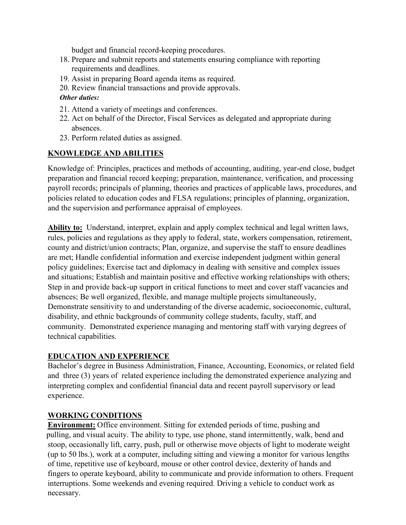budget and financial record-keeping procedures.

- 18. Prepare and submit reports and statements ensuring compliance with reporting requirements and deadlines.
- 19. Assist in preparing Board agenda items as required.
- 20. Review financial transactions and provide approvals.

#### *Other duties:*

- 21. Attend a variety of meetings and conferences.
- 22. Act on behalf of the Director, Fiscal Services as delegated and appropriate during absences.
- 23. Perform related duties as assigned.

## **KNOWLEDGE AND ABILITIES**

Knowledge of: Principles, practices and methods of accounting, auditing, year-end close, budget preparation and financial record keeping; preparation, maintenance, verification, and processing payroll records; principals of planning, theories and practices of applicable laws, procedures, and policies related to education codes and FLSA regulations; principles of planning, organization, and the supervision and performance appraisal of employees.

**Ability to:** Understand, interpret, explain and apply complex technical and legal written laws, rules, policies and regulations as they apply to federal, state, workers compensation, retirement, county and district/union contracts; Plan, organize, and supervise the staff to ensure deadlines are met; Handle confidential information and exercise independent judgment within general policy guidelines; Exercise tact and diplomacy in dealing with sensitive and complex issues and situations; Establish and maintain positive and effective working relationships with others; Step in and provide back-up support in critical functions to meet and cover staff vacancies and absences; Be well organized, flexible, and manage multiple projects simultaneously, Demonstrate sensitivity to and understanding of the diverse academic, socioeconomic, cultural, disability, and ethnic backgrounds of community college students, faculty, staff, and community. Demonstrated experience managing and mentoring staff with varying degrees of technical capabilities.

## **EDUCATION AND EXPERIENCE**

Bachelor's degree in Business Administration, Finance, Accounting, Economics, or related field and three (3) years of related experience including the demonstrated experience analyzing and interpreting complex and confidential financial data and recent payroll supervisory or lead experience.

## **WORKING CONDITIONS**

**Environment:** Office environment. Sitting for extended periods of time, pushing and pulling, and visual acuity. The ability to type, use phone, stand intermittently, walk, bend and stoop, occasionally lift, carry, push, pull or otherwise move objects of light to moderate weight (up to 50 lbs.), work at a computer, including sitting and viewing a monitor for various lengths of time, repetitive use of keyboard, mouse or other control device, dexterity of hands and fingers to operate keyboard, ability to communicate and provide information to others. Frequent interruptions. Some weekends and evening required. Driving a vehicle to conduct work as necessary.